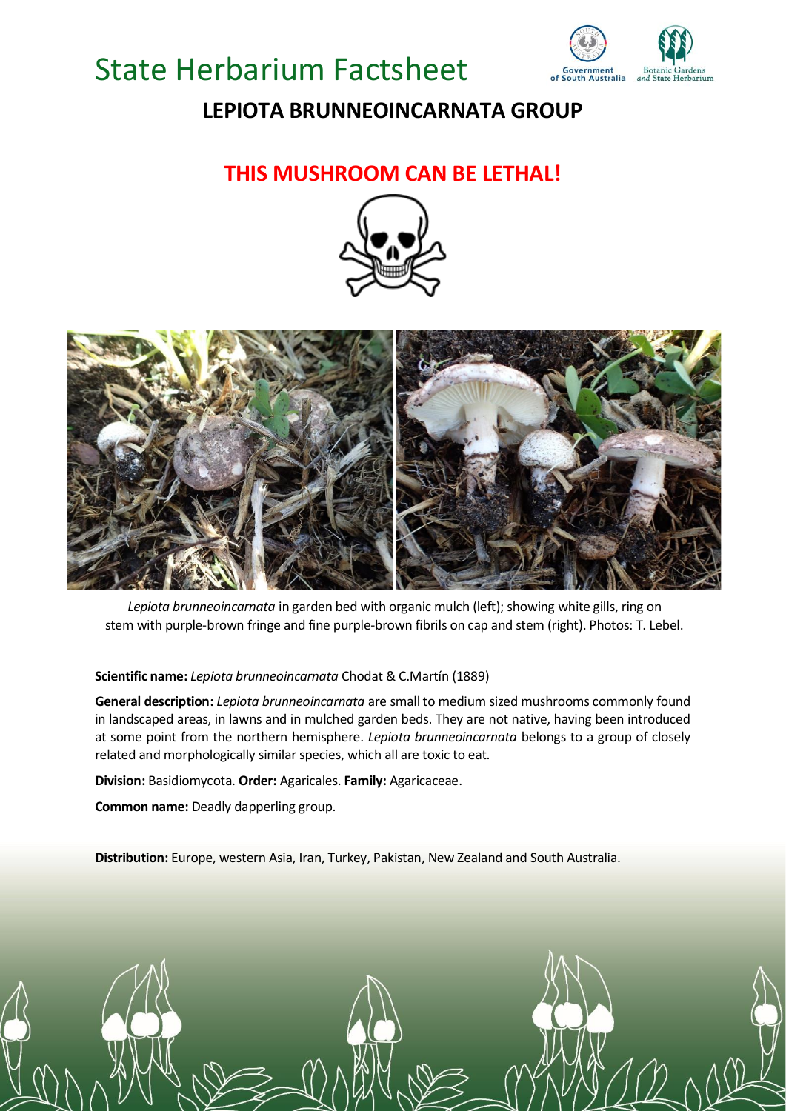# State Herbarium Factsheet



## **LEPIOTA BRUNNEOINCARNATA GROUP**

### **THIS MUSHROOM CAN BE LETHAL!**





*Lepiota brunneoincarnata* in garden bed with organic mulch (left); showing white gills, ring on stem with purple-brown fringe and fine purple-brown fibrils on cap and stem (right). Photos: T. Lebel.

#### **Scientific name:** *Lepiota brunneoincarnata* Chodat & C.Martín (1889)

**General description:** *Lepiota brunneoincarnata* are small to medium sized mushrooms commonly found in landscaped areas, in lawns and in mulched garden beds. They are not native, having been introduced at some point from the northern hemisphere. *Lepiota brunneoincarnata* belongs to a group of closely related and morphologically similar species, which all are toxic to eat.

**Division:** Basidiomycota. **Order:** Agaricales. **Family:** Agaricaceae.

**Common name:** Deadly dapperling group.

**Distribution:** Europe, western Asia, Iran, Turkey, Pakistan, New Zealand and South Australia.

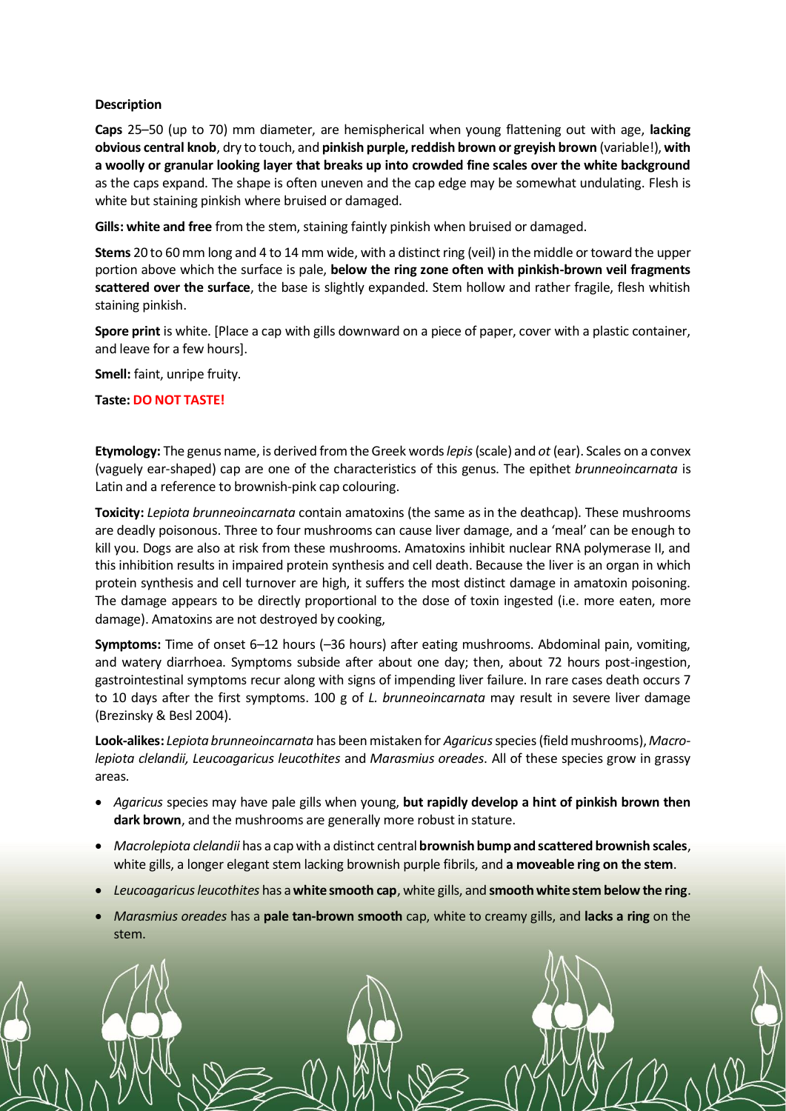#### **Description**

**Caps** 25–50 (up to 70) mm diameter, are hemispherical when young flattening out with age, **lacking obvious central knob**, dry to touch, and **pinkish purple, reddish brown or greyish brown** (variable!), **with a woolly or granular looking layer that breaks up into crowded fine scales over the white background** as the caps expand. The shape is often uneven and the cap edge may be somewhat undulating. Flesh is white but staining pinkish where bruised or damaged.

**Gills: white and free** from the stem, staining faintly pinkish when bruised or damaged.

**Stems** 20 to 60 mm long and 4 to 14 mm wide, with a distinct ring (veil) in the middle or toward the upper portion above which the surface is pale, **below the ring zone often with pinkish-brown veil fragments scattered over the surface**, the base is slightly expanded. Stem hollow and rather fragile, flesh whitish staining pinkish.

**Spore print** is white. [Place a cap with gills downward on a piece of paper, cover with a plastic container, and leave for a few hours].

**Smell:** faint, unripe fruity.

**Taste: DO NOT TASTE!**

**Etymology:** The genus name, is derived from the Greek words*lepis*(scale) and *ot* (ear). Scales on a convex (vaguely ear-shaped) cap are one of the characteristics of this genus. The epithet *brunneoincarnata* is Latin and a reference to brownish-pink cap colouring.

**Toxicity:** *Lepiota brunneoincarnata* contain amatoxins (the same as in the deathcap). These mushrooms are deadly poisonous. Three to four mushrooms can cause liver damage, and a 'meal' can be enough to kill you. Dogs are also at risk from these mushrooms. Amatoxins inhibit nuclear RNA polymerase II, and this inhibition results in impaired protein synthesis and cell death. Because the liver is an organ in which protein synthesis and cell turnover are high, it suffers the most distinct damage in amatoxin poisoning. The damage appears to be directly proportional to the dose of toxin ingested (i.e. more eaten, more damage). Amatoxins are not destroyed by cooking,

**Symptoms:** Time of onset 6–12 hours (–36 hours) after eating mushrooms. Abdominal pain, vomiting, and watery diarrhoea. Symptoms subside after about one day; then, about 72 hours post-ingestion, gastrointestinal symptoms recur along with signs of impending liver failure. In rare cases death occurs 7 to 10 days after the first symptoms. 100 g of *L. brunneoincarnata* may result in severe liver damage (Brezinsky & Besl 2004).

**Look-alikes:** *Lepiota brunneoincarnata* has been mistaken for *Agaricus*species (field mushrooms),*Macrolepiota clelandii, Leucoagaricus leucothites* and *Marasmius oreades*. All of these species grow in grassy areas.

- *Agaricus* species may have pale gills when young, **but rapidly develop a hint of pinkish brown then dark brown**, and the mushrooms are generally more robust in stature.
- *Macrolepiota clelandii* has a cap with a distinct central **brownish bump and scattered brownish scales**, white gills, a longer elegant stem lacking brownish purple fibrils, and **a moveable ring on the stem**.
- *Leucoagaricus leucothites* has a **white smooth cap**, white gills, and **smooth white stem below the ring**.
- *Marasmius oreades* has a **pale tan-brown smooth** cap, white to creamy gills, and **lacks a ring** on the stem.